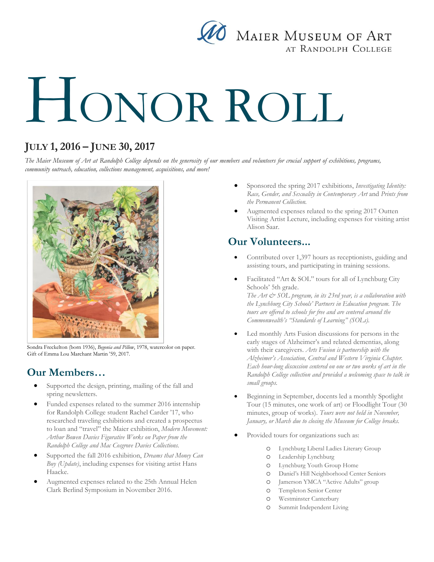

# HONOR ROLL

## **JULY 1, 2016 – JUNE 30, 2017**

*The Maier Museum of Art at Randolph College depends on the generosity of our members and volunteers for crucial support of exhibitions, programs, community outreach, education, collections management, acquisitions, and more!*



Sondra Freckelton (born 1936), *Begonia and Pillow*, 1978, watercolor on paper. Gift of Emma Lou Marchant Martin '59, 2017.

## **Our Members…**

- Supported the design, printing, mailing of the fall and spring newsletters.
- Funded expenses related to the summer 2016 internship for Randolph College student Rachel Carder '17, who researched traveling exhibitions and created a prospectus to loan and "travel" the Maier exhibition, *Modern Movement: Arthur Bowen Davies Figurative Works on Paper from the Randolph College and Mac Cosgrove Davies Collections.*
- Supported the fall 2016 exhibition, *Dreams that Money Can Buy (Update)*, including expenses for visiting artist Hans Haacke.
- Augmented expenses related to the 25th Annual Helen Clark Berlind Symposium in November 2016.
- Sponsored the spring 2017 exhibitions, *Investigating Identity: Race, Gender, and Sexuality in Contemporary Art* and *Prints from the Permanent Collection.*
- Augmented expenses related to the spring 2017 Outten Visiting Artist Lecture, including expenses for visiting artist Alison Saar.

### **Our Volunteers...**

- Contributed over 1,397 hours as receptionists, guiding and assisting tours, and participating in training sessions.
- Facilitated "Art & SOL" tours for all of Lynchburg City Schools' 5th grade. *The Art & SOL program, in its 23rd year, is a collaboration with the Lynchburg City Schools' Partners in Education program. The tours are offered to schools for free and are centered around the Commonwealth's "Standards of Learning" (SOLs).*
- Led monthly Arts Fusion discussions for persons in the early stages of Alzheimer's and related dementias, along with their caregivers. *Arts Fusion is partnership with the Alzheimer's Association, Central and Western Virginia Chapter. Each hour-long discussion centered on one or two works of art in the Randolph College collection and provided a welcoming space to talk in small groups.*
- Beginning in September, docents led a monthly Spotlight Tour (15 minutes, one work of art) or Floodlight Tour (30 minutes, group of works). *Tours were not held in November, January, or March due to closing the Museum for College breaks.*
- Provided tours for organizations such as:
	- o Lynchburg Liberal Ladies Literary Group
	- o Leadership Lynchburg
	- o Lynchburg Youth Group Home
	- o Daniel's Hill Neighborhood Center Seniors
	- o Jamerson YMCA "Active Adults" group
	- o Templeton Senior Center
	- o Westminster Canterbury
	- o Summit Independent Living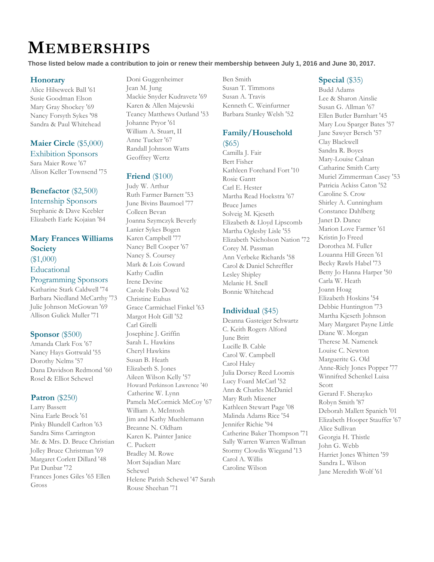# **MEMBERSHIPS**

**Those listed below made a contribution to join or renew their membership between July 1, 2016 and June 30, 2017.** 

#### **Honorary**

Alice Hilseweck Ball '61 Susie Goodman Elson Mary Gray Shockey '69 Nancy Forsyth Sykes '98 Sandra & Paul Whitehead

#### **Maier Circle** (\$5,000) Exhibition Sponsors

Sara Maier Rowe '67 Alison Keller Townsend '75

#### **Benefactor** (\$2,500) Internship Sponsors

Stephanie & Dave Keebler Elizabeth Earle Kojaian '84

#### **Mary Frances Williams Society**  (\$1,000) Educational

#### Programming Sponsors

Katharine Stark Caldwell '74 Barbara Niedland McCarthy '73 Julie Johnson McGowan '69 Allison Gulick Muller '71

#### **Sponsor** (\$500)

Amanda Clark Fox '67 Nancy Hays Gottwald '55 Dorothy Nelms '57 Dana Davidson Redmond '60 Rosel & Elliot Schewel

#### **Patron** (\$250)

Larry Bassett Nina Earle Brock '61 Pinky Blundell Carlton '63 Sandra Sims Carrington Mr. & Mrs. D. Bruce Christian Jolley Bruce Christman '69 Margaret Corlett Dillard '48 Pat Dunbar '72 Frances Jones Giles '65 Ellen Gross

Doni Guggenheimer Jean M. Jung Mackie Snyder Kudravetz '69 Karen & Allen Majewski Teancy Matthews Outland '53 Johanne Pryor '61 William A. Stuart, II Anne Tucker '67 Randall Johnson Watts Geoffrey Wertz

#### **Friend** (\$100)

Judy W. Arthur Ruth Farmer Barnett '53 June Bivins Baumoel '77 Colleen Bevan Joanna Szymczyk Beverly Lanier Sykes Bogen Karen Campbell '77 Nancy Bell Cooper '67 Nancy S. Coursey Mark & Lois Coward Kathy Cudlin Irene Devine Carole Folts Dowd '62 Christine Euhus Grace Carmichael Finkel '63 Margot Holt Gill '52 Carl Girelli Josephine J. Griffin Sarah L. Hawkins Cheryl Hawkins Susan B. Heath Elizabeth S. Jones Aileen Wilson Kelly '57 Howard Perkinson Lawrence '40 Catherine W. Lynn Pamela McCormick McCoy '67 William A. McIntosh Jim and Kathy Muehlemann Breanne N. Oldham Karen K. Painter Janice C. Puckett Bradley M. Rowe Mort Sajadian Marc Schewel Helene Parish Schewel '47 Sarah Rouse Sheehan '71

Ben Smith Susan T. Timmons Susan A. Travis Kenneth C. Weinfurtner Barbara Stanley Welsh '52

#### **Family/Household**  (\$65)

Camilla J. Fair Bert Fisher Kathleen Forehand Fort '10 Rosie Gantt Carl E. Hester Martha Read Hoekstra '67 Bruce James Solveig M. Kjeseth Elizabeth & Lloyd Lipscomb Martha Oglesby Lisle '55 Elizabeth Nicholson Nation '72 Corey M. Passman Ann Verbeke Richards '58 Carol & Daniel Schreffler Lesley Shipley Melanie H. Snell Bonnie Whitehead

#### **Individual** (\$45)

Deanna Gasteiger Schwartz C. Keith Rogers Alford June Britt Lucille B. Cable Carol W. Campbell Carol Haley Julia Dorsey Reed Loomis Lucy Foard McCarl '52 Ann & Charles McDaniel Mary Ruth Mizener Kathleen Stewart Page '08 Malinda Adams Rice '54 Jennifer Richie '94 Catherine Baker Thompson '71 Sally Warren Warren Wallman Stormy Clowdis Wiegand '13 Carol A. Willis Caroline Wilson

#### **Special** (\$35)

Budd Adams Lee & Sharon Ainslie Susan G. Allman '67 Ellen Butler Barnhart '45 Mary Lou Sparger Bates '57 Jane Sawyer Bersch '57 Clay Blackwell Sandra R. Boyes Mary-Louise Calnan Catharine Smith Carty Muriel Zimmerman Casey '53 Patricia Ackiss Caton '52 Caroline S. Crow Shirley A. Cunningham Constance Dahlberg Janet D. Dance Marion Love Farmer '61 Kristin Jo Freed Dorothea M. Fuller Louanna Hill Green '61 Becky Rawls Habel '73 Betty Jo Hanna Harper '50 Carla W. Heath Joann Hoag Elizabeth Hoskins '54 Debbie Huntington '73 Martha Kjeseth Johnson Mary Margaret Payne Little Diane W. Morgan Therese M. Namenek Louise C. Newton Marguerite G. Old Anne-Riely Jones Popper '77 Winnifred Schenkel Luisa Scott Gerard F. Sherayko Robyn Smith '87 Deborah Mallett Spanich '01 Elizabeth Hooper Stauffer '67 Alice Sullivan Georgia H. Thistle John G. Webb Harriet Jones Whitten '59 Sandra L. Wilson Jane Meredith Wolf '61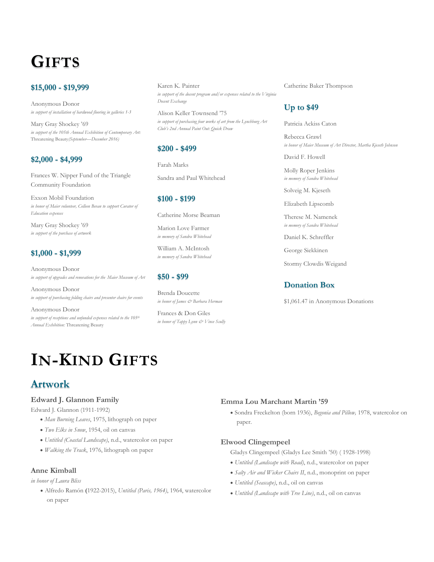## **GIFTS**

#### **\$15,000 - \$19,999**

Anonymous Donor *in support of installation of hardwood flooring in galleries 1-3*

Mary Gray Shockey '69 *in support of the 105th Annual Exhibition of Contemporary Art:*  Threatening Beauty*(September—December 2016)*

#### **\$2,000 - \$4,999**

Frances W. Nipper Fund of the Triangle Community Foundation

Exxon Mobil Foundation *in honor of Maier volunteer, Colleen Bevan to support Curator of Education expenses*

Mary Gray Shockey '69 *in support of the purchase of artwork* 

#### **\$1,000 - \$1,999**

Anonymous Donor *in support of upgrades and renovations for the Maier Museum of Art*

Anonymous Donor *in support of purchasing folding chairs and presenter chairs for events*

Anonymous Donor *in support of receptions and unfunded expenses related to the 105th Annual Exhibition:* Threatening Beauty

Karen K. Painter *in support of the docent program and/or expenses related to the Virginia Docent Exchange*

Alison Keller Townsend '75 *in support of purchasing four works of art from the Lynchburg Art Club's 2nd Annual Paint Out: Quick Draw*

#### **\$200 - \$499**

Farah Marks

Sandra and Paul Whitehead

#### **\$100 - \$199**

Catherine Morse Beaman

Marion Love Farmer *in memory of Sandra Whitehead*

William A. McIntosh *in memory of Sandra Whitehead*

#### **\$50 - \$99**

Brenda Doucette *in honor of James & Barbara Herman*

Frances & Don Giles *in honor of Tappy Lynn & Vince Scully*

#### Catherine Baker Thompson

#### **Up to \$49**

Patricia Ackiss Caton

Rebecca Grawl *in honor of Maier Museum of Art Director, Martha Kjeseth Johnson*

David F. Howell

Molly Roper Jenkins *in memory of Sandra Whitehead*

Solveig M. Kjeseth

Elizabeth Lipscomb

Therese M. Namenek *in memory of Sandra Whitehead*

Daniel K. Schreffler

George Siekkinen

Stormy Clowdis Weigand

#### **Donation Box**

\$1,061.47 in Anonymous Donations

# **IN-KIND GIFTS**

## **Artwork**

#### **Edward J. Glannon Family**

Edward J. Glannon (1911-1992)

- *Man Burning Leaves*, 1975, lithograph on paper
- *Two Elks in Snow*, 1954, oil on canvas
- *Untitled (Coastal Landscape)*, n.d., watercolor on paper
- *Walking the Track*, 1976, lithograph on paper

#### **Anne Kimball**

#### *in honor of Laura Bliss*

 Alfredo Ramón **(**1922-2015), *Untitled (Paris, 1964)*, 1964, watercolor on paper

#### **Emma Lou Marchant Martin '59**

 Sondra Freckelton (born 1936), *Begonia and Pillow,* 1978, watercolor on paper.

#### **Elwood Clingempeel**

Gladys Clingempeel (Gladys Lee Smith '50) ( 1928-1998)

- *Untitled (Landscape with Road)*, n.d., watercolor on paper
- *Salty Air and Wicker Chairs II*, n.d., monoprint on paper
- *Untitled (Seascape)*, n.d., oil on canvas
- *Untitled (Landscape with Tree Line)*, n.d., oil on canvas